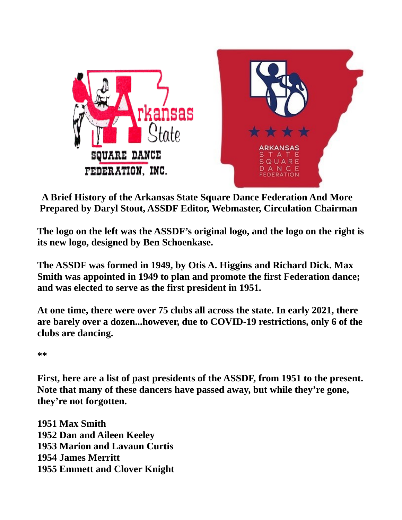



 **A Brief History of the Arkansas State Square Dance Federation And More Prepared by Daryl Stout, ASSDF Editor, Webmaster, Circulation Chairman**

**The logo on the left was the ASSDF's original logo, and the logo on the right is its new logo, designed by Ben Schoenkase.**

**The ASSDF was formed in 1949, by Otis A. Higgins and Richard Dick. Max Smith was appointed in 1949 to plan and promote the first Federation dance; and was elected to serve as the first president in 1951.**

**At one time, there were over 75 clubs all across the state. In early 2021, there are barely over a dozen...however, due to COVID-19 restrictions, only 6 of the clubs are dancing.**

**\*\***

**First, here are a list of past presidents of the ASSDF, from 1951 to the present. Note that many of these dancers have passed away, but while they're gone, they're not forgotten.**

**1951 Max Smith 1952 Dan and Aileen Keeley 1953 Marion and Lavaun Curtis 1954 James Merritt 1955 Emmett and Clover Knight**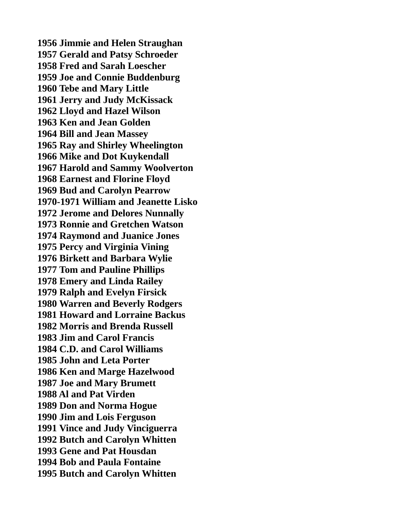**1956 Jimmie and Helen Straughan 1957 Gerald and Patsy Schroeder 1958 Fred and Sarah Loescher 1959 Joe and Connie Buddenburg 1960 Tebe and Mary Little 1961 Jerry and Judy McKissack 1962 Lloyd and Hazel Wilson 1963 Ken and Jean Golden 1964 Bill and Jean Massey 1965 Ray and Shirley Wheelington 1966 Mike and Dot Kuykendall 1967 Harold and Sammy Woolverton 1968 Earnest and Florine Floyd 1969 Bud and Carolyn Pearrow 1970-1971 William and Jeanette Lisko 1972 Jerome and Delores Nunnally 1973 Ronnie and Gretchen Watson 1974 Raymond and Juanice Jones 1975 Percy and Virginia Vining 1976 Birkett and Barbara Wylie 1977 Tom and Pauline Phillips 1978 Emery and Linda Railey 1979 Ralph and Evelyn Firsick 1980 Warren and Beverly Rodgers 1981 Howard and Lorraine Backus 1982 Morris and Brenda Russell 1983 Jim and Carol Francis 1984 C.D. and Carol Williams 1985 John and Leta Porter 1986 Ken and Marge Hazelwood 1987 Joe and Mary Brumett 1988 Al and Pat Virden 1989 Don and Norma Hogue 1990 Jim and Lois Ferguson 1991 Vince and Judy Vinciguerra 1992 Butch and Carolyn Whitten 1993 Gene and Pat Housdan 1994 Bob and Paula Fontaine 1995 Butch and Carolyn Whitten**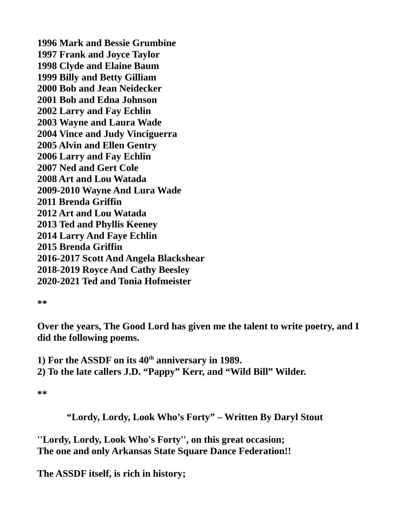**1996 Mark and Bessie Grumbine 1997 Frank and Joyce Taylor 1998 Clyde and Elaine Baum 1999 Billy and Betty Gilliam 2000 Bob and Jean Neidecker 2001 Bob and Edna Johnson 2002 Larry and Fay Echlin 2003 Wayne and Laura Wade 2004 Vince and Judy Vinciguerra 2005 Alvin and Ellen Gentry 2006 Larry and Fay Echlin 2007 Ned and Gert Cole 2008 Art and Lou Watada 2009-2010 Wayne And Lura Wade 2011 Brenda Griffin 2012 Art and Lou Watada 2013 Ted and Phyllis Keeney 2014 Larry And Faye Echlin 2015 Brenda Griffin 2016-2017 Scott And Angela Blackshear 2018-2019 Royce And Cathy Beesley 2020-2021 Ted and Tonia Hofmeister**

**\*\***

**Over the years, The Good Lord has given me the talent to write poetry, and I did the following poems.**

**1) For the ASSDF on its 40th anniversary in 1989. 2) To the late callers J.D. "Pappy" Kerr, and "Wild Bill" Wilder.**

**\*\***

 **"Lordy, Lordy, Look Who's Forty" – Written By Daryl Stout**

**''Lordy, Lordy, Look Who's Forty'', on this great occasion; The one and only Arkansas State Square Dance Federation!!**

**The ASSDF itself, is rich in history;**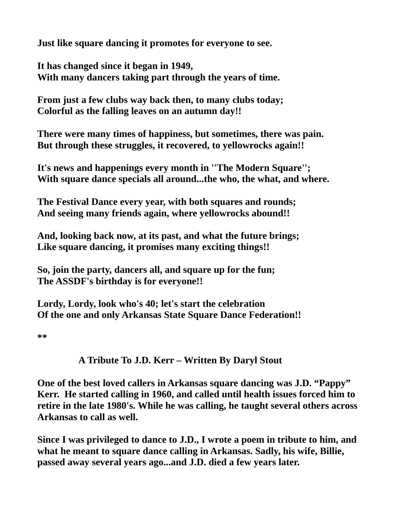**Just like square dancing it promotes for everyone to see.**

**It has changed since it began in 1949, With many dancers taking part through the years of time.**

**From just a few clubs way back then, to many clubs today; Colorful as the falling leaves on an autumn day!!**

**There were many times of happiness, but sometimes, there was pain. But through these struggles, it recovered, to yellowrocks again!!**

**It's news and happenings every month in ''The Modern Square''; With square dance specials all around...the who, the what, and where.**

**The Festival Dance every year, with both squares and rounds; And seeing many friends again, where yellowrocks abound!!**

**And, looking back now, at its past, and what the future brings; Like square dancing, it promises many exciting things!!**

**So, join the party, dancers all, and square up for the fun; The ASSDF's birthday is for everyone!!**

**Lordy, Lordy, look who's 40; let's start the celebration Of the one and only Arkansas State Square Dance Federation!!**

**\*\***

## **A Tribute To J.D. Kerr – Written By Daryl Stout**

**One of the best loved callers in Arkansas square dancing was J.D. "Pappy" Kerr. He started calling in 1960, and called until health issues forced him to retire in the late 1980's. While he was calling, he taught several others across Arkansas to call as well.** 

**Since I was privileged to dance to J.D., I wrote a poem in tribute to him, and what he meant to square dance calling in Arkansas. Sadly, his wife, Billie, passed away several years ago...and J.D. died a few years later.**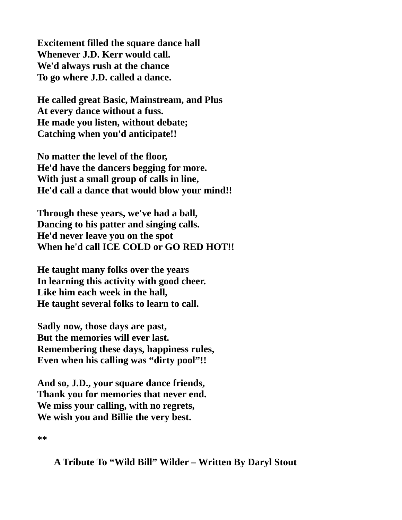**Excitement filled the square dance hall Whenever J.D. Kerr would call. We'd always rush at the chance To go where J.D. called a dance.**

**He called great Basic, Mainstream, and Plus At every dance without a fuss. He made you listen, without debate; Catching when you'd anticipate!!**

**No matter the level of the floor, He'd have the dancers begging for more. With just a small group of calls in line, He'd call a dance that would blow your mind!!**

**Through these years, we've had a ball, Dancing to his patter and singing calls. He'd never leave you on the spot When he'd call ICE COLD or GO RED HOT!!**

**He taught many folks over the years In learning this activity with good cheer. Like him each week in the hall, He taught several folks to learn to call.**

**Sadly now, those days are past, But the memories will ever last. Remembering these days, happiness rules, Even when his calling was "dirty pool"!!**

**And so, J.D., your square dance friends, Thank you for memories that never end. We miss your calling, with no regrets, We wish you and Billie the very best.**

**\*\***

 **A Tribute To "Wild Bill" Wilder – Written By Daryl Stout**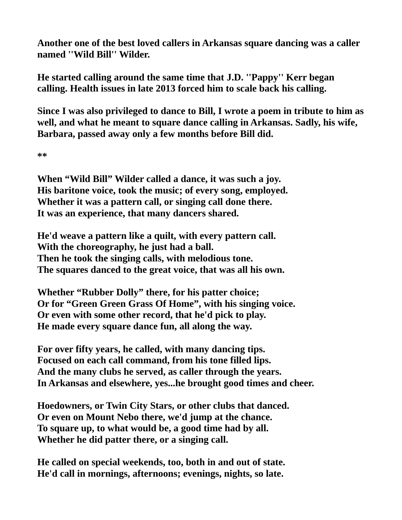**Another one of the best loved callers in Arkansas square dancing was a caller named ''Wild Bill'' Wilder.**

**He started calling around the same time that J.D. ''Pappy'' Kerr began calling. Health issues in late 2013 forced him to scale back his calling.** 

**Since I was also privileged to dance to Bill, I wrote a poem in tribute to him as well, and what he meant to square dance calling in Arkansas. Sadly, his wife, Barbara, passed away only a few months before Bill did.**

**\*\***

**When "Wild Bill" Wilder called a dance, it was such a joy. His baritone voice, took the music; of every song, employed. Whether it was a pattern call, or singing call done there. It was an experience, that many dancers shared.**

**He'd weave a pattern like a quilt, with every pattern call. With the choreography, he just had a ball. Then he took the singing calls, with melodious tone. The squares danced to the great voice, that was all his own.**

**Whether "Rubber Dolly" there, for his patter choice; Or for "Green Green Grass Of Home", with his singing voice. Or even with some other record, that he'd pick to play. He made every square dance fun, all along the way.**

**For over fifty years, he called, with many dancing tips. Focused on each call command, from his tone filled lips. And the many clubs he served, as caller through the years. In Arkansas and elsewhere, yes...he brought good times and cheer.**

**Hoedowners, or Twin City Stars, or other clubs that danced. Or even on Mount Nebo there, we'd jump at the chance. To square up, to what would be, a good time had by all. Whether he did patter there, or a singing call.**

**He called on special weekends, too, both in and out of state. He'd call in mornings, afternoons; evenings, nights, so late.**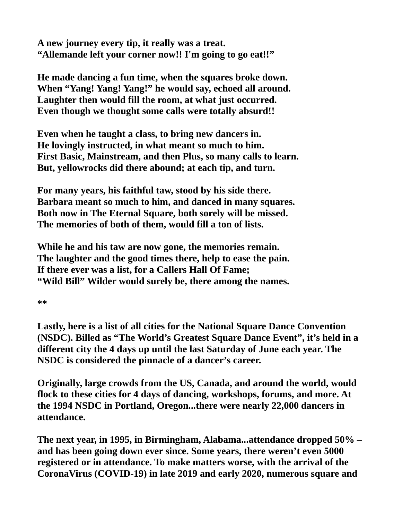**A new journey every tip, it really was a treat. "Allemande left your corner now!! I'm going to go eat!!"**

**He made dancing a fun time, when the squares broke down. When "Yang! Yang! Yang!" he would say, echoed all around. Laughter then would fill the room, at what just occurred. Even though we thought some calls were totally absurd!!**

**Even when he taught a class, to bring new dancers in. He lovingly instructed, in what meant so much to him. First Basic, Mainstream, and then Plus, so many calls to learn. But, yellowrocks did there abound; at each tip, and turn.**

**For many years, his faithful taw, stood by his side there. Barbara meant so much to him, and danced in many squares. Both now in The Eternal Square, both sorely will be missed. The memories of both of them, would fill a ton of lists.**

**While he and his taw are now gone, the memories remain. The laughter and the good times there, help to ease the pain. If there ever was a list, for a Callers Hall Of Fame; "Wild Bill" Wilder would surely be, there among the names.**

**\*\***

**Lastly, here is a list of all cities for the National Square Dance Convention (NSDC). Billed as "The World's Greatest Square Dance Event", it's held in a different city the 4 days up until the last Saturday of June each year. The NSDC is considered the pinnacle of a dancer's career.**

**Originally, large crowds from the US, Canada, and around the world, would flock to these cities for 4 days of dancing, workshops, forums, and more. At the 1994 NSDC in Portland, Oregon...there were nearly 22,000 dancers in attendance.** 

**The next year, in 1995, in Birmingham, Alabama...attendance dropped 50% – and has been going down ever since. Some years, there weren't even 5000 registered or in attendance. To make matters worse, with the arrival of the CoronaVirus (COVID-19) in late 2019 and early 2020, numerous square and**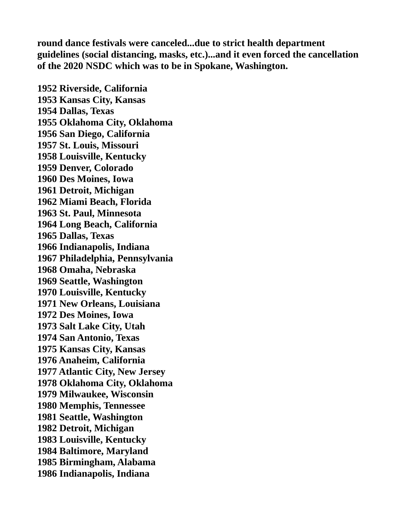**round dance festivals were canceled...due to strict health department guidelines (social distancing, masks, etc.)...and it even forced the cancellation of the 2020 NSDC which was to be in Spokane, Washington.**

**1952 Riverside, California 1953 Kansas City, Kansas 1954 Dallas, Texas 1955 Oklahoma City, Oklahoma 1956 San Diego, California 1957 St. Louis, Missouri 1958 Louisville, Kentucky 1959 Denver, Colorado 1960 Des Moines, Iowa 1961 Detroit, Michigan 1962 Miami Beach, Florida 1963 St. Paul, Minnesota 1964 Long Beach, California 1965 Dallas, Texas 1966 Indianapolis, Indiana 1967 Philadelphia, Pennsylvania 1968 Omaha, Nebraska 1969 Seattle, Washington 1970 Louisville, Kentucky 1971 New Orleans, Louisiana 1972 Des Moines, Iowa 1973 Salt Lake City, Utah 1974 San Antonio, Texas 1975 Kansas City, Kansas 1976 Anaheim, California 1977 Atlantic City, New Jersey 1978 Oklahoma City, Oklahoma 1979 Milwaukee, Wisconsin 1980 Memphis, Tennessee 1981 Seattle, Washington 1982 Detroit, Michigan 1983 Louisville, Kentucky 1984 Baltimore, Maryland 1985 Birmingham, Alabama 1986 Indianapolis, Indiana**